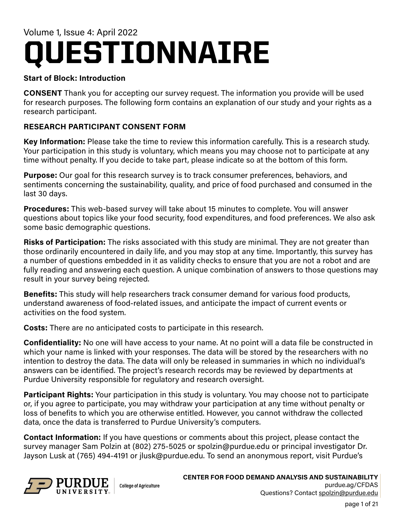# QUESTIONNAIRE Volume 1, Issue 4: April 2022

## **Start of Block: Introduction**

**CONSENT** Thank you for accepting our survey request. The information you provide will be used for research purposes. The following form contains an explanation of our study and your rights as a research participant.

## **RESEARCH PARTICIPANT CONSENT FORM**

**Key Information:** Please take the time to review this information carefully. This is a research study. Your participation in this study is voluntary, which means you may choose not to participate at any time without penalty. If you decide to take part, please indicate so at the bottom of this form.

**Purpose:** Our goal for this research survey is to track consumer preferences, behaviors, and sentiments concerning the sustainability, quality, and price of food purchased and consumed in the last 30 days.

**Procedures:** This web-based survey will take about 15 minutes to complete. You will answer questions about topics like your food security, food expenditures, and food preferences. We also ask some basic demographic questions.

**Risks of Participation:** The risks associated with this study are minimal. They are not greater than those ordinarily encountered in daily life, and you may stop at any time. Importantly, this survey has a number of questions embedded in it as validity checks to ensure that you are not a robot and are fully reading and answering each question. A unique combination of answers to those questions may result in your survey being rejected.

**Benefits:** This study will help researchers track consumer demand for various food products, understand awareness of food-related issues, and anticipate the impact of current events or activities on the food system.

**Costs:** There are no anticipated costs to participate in this research.

**Confidentiality:** No one will have access to your name. At no point will a data file be constructed in which your name is linked with your responses. The data will be stored by the researchers with no intention to destroy the data. The data will only be released in summaries in which no individual's answers can be identified. The project's research records may be reviewed by departments at Purdue University responsible for regulatory and research oversight.

**Participant Rights:** Your participation in this study is voluntary. You may choose not to participate or, if you agree to participate, you may withdraw your participation at any time without penalty or loss of benefits to which you are otherwise entitled. However, you cannot withdraw the collected data, once the data is transferred to Purdue University's computers.

**Contact Information:** If you have questions or comments about this project, please contact the survey manager Sam Polzin at (802) 275-5025 or spolzin@purdue.edu or principal investigator Dr. Jayson Lusk at (765) 494-4191 or jlusk@purdue.edu. To send an anonymous report, visit Purdue's



**CENTER FOR FOOD DEMAND ANALYSIS AND SUSTAINABILITY** purdue.ag/CFDAS Questions? Contact spolzin@purdue.edu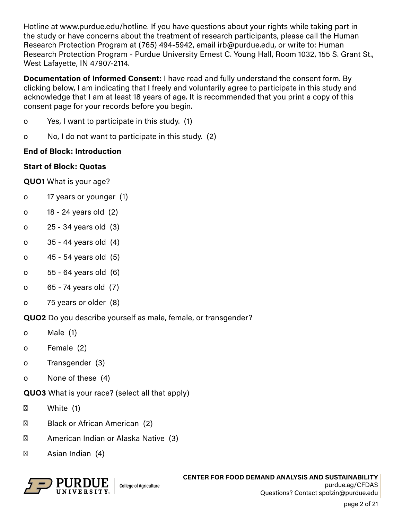Hotline at www.purdue.edu/hotline. If you have questions about your rights while taking part in the study or have concerns about the treatment of research participants, please call the Human Research Protection Program at (765) 494-5942, email irb@purdue.edu, or write to: Human Research Protection Program - Purdue University Ernest C. Young Hall, Room 1032, 155 S. Grant St., West Lafayette, IN 47907-2114.

**Documentation of Informed Consent:** I have read and fully understand the consent form. By clicking below, I am indicating that I freely and voluntarily agree to participate in this study and acknowledge that I am at least 18 years of age. It is recommended that you print a copy of this consent page for your records before you begin.

- o Yes, I want to participate in this study. (1)
- o No, I do not want to participate in this study. (2)

## **End of Block: Introduction**

## **Start of Block: Quotas**

**QUO1** What is your age?

- o 17 years or younger (1)
- o 18 24 years old (2)
- o 25 34 years old (3)
- o 35 44 years old (4)
- o 45 54 years old (5)
- o 55 64 years old (6)
- o 65 74 years old (7)
- o 75 years or older (8)

**QUO2** Do you describe yourself as male, female, or transgender?

- o Male (1)
- o Female (2)
- o Transgender (3)
- o None of these (4)

# **QUO3** What is your race? (select all that apply)

White (1)

Black or African American (2)

American Indian or Alaska Native (3)

Asian Indian (4)

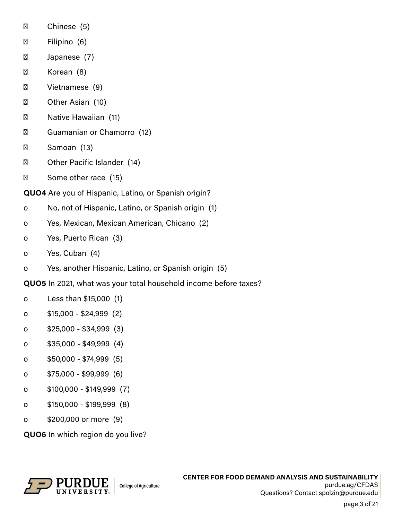|                                                             | Chinese (5)                                        |
|-------------------------------------------------------------|----------------------------------------------------|
|                                                             | Filipino (6)                                       |
|                                                             | Japanese (7)                                       |
|                                                             | Korean (8)                                         |
|                                                             | Vietnamese (9)                                     |
|                                                             | Other Asian (10)                                   |
|                                                             | Native Hawaiian (11)                               |
|                                                             | Guamanian or Chamorro (12)                         |
|                                                             | Samoan (13)                                        |
|                                                             | Other Pacific Islander (14)                        |
|                                                             | Some other race (15)                               |
| <b>QUO4</b> Are you of Hispanic, Latino, or Spanish origin? |                                                    |
| o                                                           | No, not of Hispanic, Latino, or Spanish origin (1) |
| O                                                           | Yes, Mexican, Mexican American, Chicano (2)        |
|                                                             |                                                    |

- o Yes, Puerto Rican (3)
- o Yes, Cuban (4)
- o Yes, another Hispanic, Latino, or Spanish origin (5)
- **QUO5** In 2021, what was your total household income before taxes?
- o Less than \$15,000 (1)
- o \$15,000 \$24,999 (2)
- o \$25,000 \$34,999 (3)
- o \$35,000 \$49,999 (4)
- o \$50,000 \$74,999 (5)
- o \$75,000 \$99,999 (6)
- o \$100,000 \$149,999 (7)
- o \$150,000 \$199,999 (8)
- o \$200,000 or more (9)

**QUO6** In which region do you live?

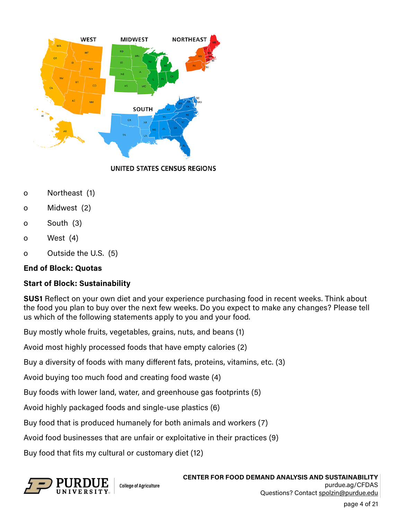

UNITED STATES CENSUS REGIONS

- o Northeast (1)
- o Midwest (2)
- o South (3)
- o West (4)
- o Outside the U.S. (5)

## **End of Block: Quotas**

## **Start of Block: Sustainability**

**SUS1** Reflect on your own diet and your experience purchasing food in recent weeks. Think about the food you plan to buy over the next few weeks. Do you expect to make any changes? Please tell us which of the following statements apply to you and your food.

Buy mostly whole fruits, vegetables, grains, nuts, and beans (1)

Avoid most highly processed foods that have empty calories (2)

Buy a diversity of foods with many different fats, proteins, vitamins, etc. (3)

Avoid buying too much food and creating food waste (4)

Buy foods with lower land, water, and greenhouse gas footprints (5)

Avoid highly packaged foods and single-use plastics (6)

Buy food that is produced humanely for both animals and workers (7)

Avoid food businesses that are unfair or exploitative in their practices (9)

Buy food that fits my cultural or customary diet (12)



**CENTER FOR FOOD DEMAND ANALYSIS AND SUSTAINABILITY** purdue.ag/CFDAS Questions? Contact spolzin@purdue.edu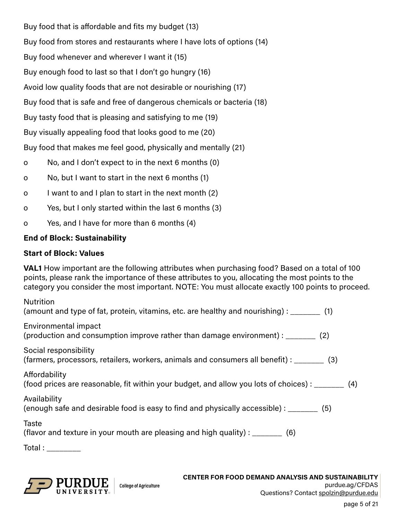Buy food that is affordable and fits my budget (13) Buy food from stores and restaurants where I have lots of options (14) Buy food whenever and wherever I want it (15) Buy enough food to last so that I don't go hungry (16) Avoid low quality foods that are not desirable or nourishing (17) Buy food that is safe and free of dangerous chemicals or bacteria (18) Buy tasty food that is pleasing and satisfying to me (19) Buy visually appealing food that looks good to me (20) Buy food that makes me feel good, physically and mentally (21)

- o No, and I don't expect to in the next 6 months (0)
- o No, but I want to start in the next 6 months (1)
- o I want to and I plan to start in the next month (2)
- o Yes, but I only started within the last 6 months (3)
- o Yes, and I have for more than 6 months (4)

## **End of Block: Sustainability**

#### **Start of Block: Values**

**VAL1** How important are the following attributes when purchasing food? Based on a total of 100 points, please rank the importance of these attributes to you, allocating the most points to the category you consider the most important. NOTE: You must allocate exactly 100 points to proceed.

| <b>Nutrition</b><br>(amount and type of fat, protein, vitamins, etc. are healthy and nourishing): ________ (1)      |
|---------------------------------------------------------------------------------------------------------------------|
| Environmental impact<br>(production and consumption improve rather than damage environment) : ________ (2)          |
| Social responsibility<br>(farmers, processors, retailers, workers, animals and consumers all benefit) : _______ (3) |
| Affordability<br>(food prices are reasonable, fit within your budget, and allow you lots of choices) : _______ (4)  |
| Availability<br>(enough safe and desirable food is easy to find and physically accessible) : _______ (5)            |
| Taste<br>(flavor and texture in your mouth are pleasing and high quality) : $\frac{1}{1}$ (6)                       |
| Total : _________                                                                                                   |

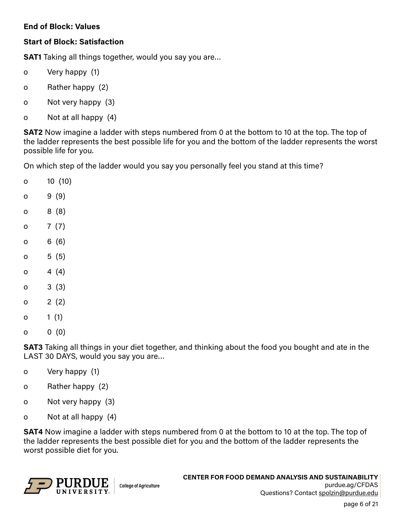#### **End of Block: Values**

## **Start of Block: Satisfaction**

**SAT1** Taking all things together, would you say you are…

- o Very happy (1)
- o Rather happy (2)
- o Not very happy (3)
- o Not at all happy (4)

**SAT2** Now imagine a ladder with steps numbered from 0 at the bottom to 10 at the top. The top of the ladder represents the best possible life for you and the bottom of the ladder represents the worst possible life for you.

On which step of the ladder would you say you personally feel you stand at this time?

- o 10 (10)
- o 9 (9)
- o 8 (8)
- o 7 (7)
- o 6 (6)
- $0 \t 5 (5)$
- o  $4(4)$
- o 3 (3)
- o 2 $(2)$
- o  $1(1)$
- o 0 (0)

**SAT3** Taking all things in your diet together, and thinking about the food you bought and ate in the LAST 30 DAYS, would you say you are…

- o Very happy (1)
- o Rather happy (2)
- o Not very happy (3)
- o Not at all happy (4)

**SAT4** Now imagine a ladder with steps numbered from 0 at the bottom to 10 at the top. The top of the ladder represents the best possible diet for you and the bottom of the ladder represents the worst possible diet for you.

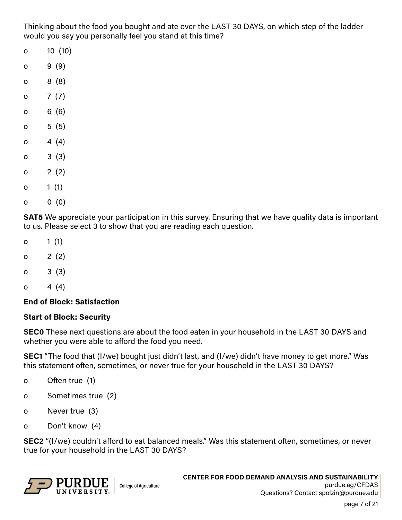Thinking about the food you bought and ate over the LAST 30 DAYS, on which step of the ladder would you say you personally feel you stand at this time?

- o 10 (10)
- o 9 (9)
- o 8 (8)
- o 7 $(7)$
- o 6 (6)
- $0 \t 5 (5)$
- o  $4(4)$
- o 3 (3)
- $0 \t2 (2)$
- o  $1(1)$
- o 0 (0)

**SAT5** We appreciate your participation in this survey. Ensuring that we have quality data is important to us. Please select 3 to show that you are reading each question.

- o  $1(1)$
- $0 \t2 (2)$
- o 3 (3)
- o  $4(4)$

#### **End of Block: Satisfaction**

#### **Start of Block: Security**

**SEC0** These next questions are about the food eaten in your household in the LAST 30 DAYS and whether you were able to afford the food you need.

**SEC1** "The food that (I/we) bought just didn't last, and (I/we) didn't have money to get more." Was this statement often, sometimes, or never true for your household in the LAST 30 DAYS?

- o Often true (1)
- o Sometimes true (2)
- o Never true (3)
- o Don't know (4)

**SEC2** "(I/we) couldn't afford to eat balanced meals." Was this statement often, sometimes, or never true for your household in the LAST 30 DAYS?

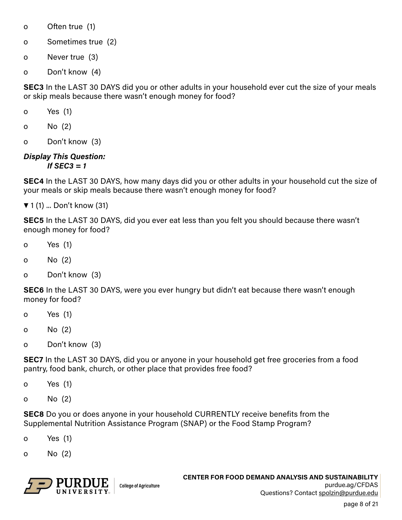- o Often true (1)
- o Sometimes true (2)
- o Never true (3)
- o Don't know (4)

**SEC3** In the LAST 30 DAYS did you or other adults in your household ever cut the size of your meals or skip meals because there wasn't enough money for food?

- o Yes (1)
- o No (2)
- o Don't know (3)

#### *Display This Question: If SEC3 = 1*

**SEC4** In the LAST 30 DAYS, how many days did you or other adults in your household cut the size of your meals or skip meals because there wasn't enough money for food?

▼ 1 (1) ... Don't know (31)

**SEC5** In the LAST 30 DAYS, did you ever eat less than you felt you should because there wasn't enough money for food?

- o Yes (1)
- o No (2)
- o Don't know (3)

**SEC6** In the LAST 30 DAYS, were you ever hungry but didn't eat because there wasn't enough money for food?

- o Yes (1)
- o No (2)
- o Don't know (3)

**SEC7** In the LAST 30 DAYS, did you or anyone in your household get free groceries from a food pantry, food bank, church, or other place that provides free food?

- o Yes (1)
- o No (2)

**SEC8** Do you or does anyone in your household CURRENTLY receive benefits from the Supplemental Nutrition Assistance Program (SNAP) or the Food Stamp Program?

- o Yes (1)
- o No (2)

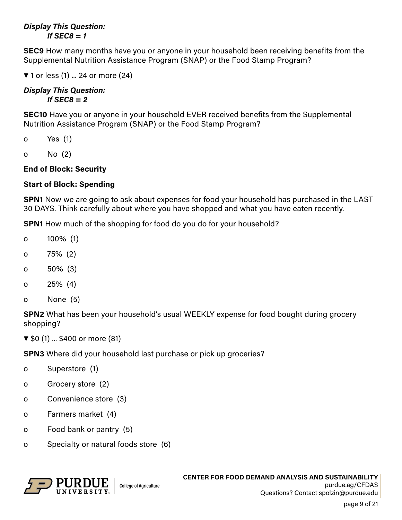#### *Display This Question: If SEC8 = 1*

**SEC9** How many months have you or anyone in your household been receiving benefits from the Supplemental Nutrition Assistance Program (SNAP) or the Food Stamp Program?

▼ 1 or less (1) ... 24 or more (24)

#### *Display This Question: If SEC8 = 2*

**SEC10** Have you or anyone in your household EVER received benefits from the Supplemental Nutrition Assistance Program (SNAP) or the Food Stamp Program?

- o Yes (1)
- o No (2)

## **End of Block: Security**

## **Start of Block: Spending**

**SPN1** Now we are going to ask about expenses for food your household has purchased in the LAST 30 DAYS. Think carefully about where you have shopped and what you have eaten recently.

**SPN1** How much of the shopping for food do you do for your household?

- o 100% (1)
- o 75% (2)
- o 50% (3)
- o 25% (4)
- o None (5)

**SPN2** What has been your household's usual WEEKLY expense for food bought during grocery shopping?

▼ \$0 (1) ... \$400 or more (81)

**SPN3** Where did your household last purchase or pick up groceries?

- o Superstore (1)
- o Grocery store (2)
- o Convenience store (3)
- o Farmers market (4)
- o Food bank or pantry (5)
- o Specialty or natural foods store (6)

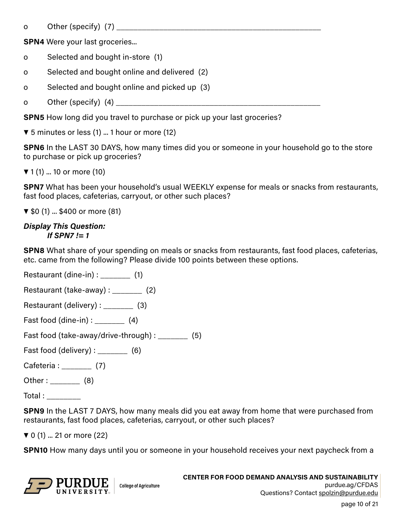o Other (specify) (7)

**SPN4** Were your last groceries...

- o Selected and bought in-store (1)
- o Selected and bought online and delivered (2)
- o Selected and bought online and picked up (3)
- o Other (specify)  $(4)$

**SPN5** How long did you travel to purchase or pick up your last groceries?

▼ 5 minutes or less (1) ... 1 hour or more (12)

**SPN6** In the LAST 30 DAYS, how many times did you or someone in your household go to the store to purchase or pick up groceries?

▼ 1 (1) ... 10 or more (10)

**SPN7** What has been your household's usual WEEKLY expense for meals or snacks from restaurants, fast food places, cafeterias, carryout, or other such places?

▼ \$0 (1) ... \$400 or more (81)

#### *Display This Question: If SPN7 != 1*

**SPN8** What share of your spending on meals or snacks from restaurants, fast food places, cafeterias, etc. came from the following? Please divide 100 points between these options.

Restaurant (dine-in) : \_\_\_\_\_\_\_\_\_ (1)

- Restaurant (take-away) : \_\_\_\_\_\_\_ (2)
- Restaurant (delivery) : \_\_\_\_\_\_\_ (3)
- Fast food (dine-in) : \_\_\_\_\_\_\_ (4)

Fast food (take-away/drive-through) : \_\_\_\_\_\_\_ (5)

Fast food (delivery) :  $(6)$ 

Cafeteria : (7)

Other : \_\_\_\_\_\_\_\_\_\_ (8)

Total : \_\_\_\_\_\_\_\_

**SPN9** In the LAST 7 DAYS, how many meals did you eat away from home that were purchased from restaurants, fast food places, cafeterias, carryout, or other such places?

▼ 0 (1) ... 21 or more (22)

**SPN10** How many days until you or someone in your household receives your next paycheck from a

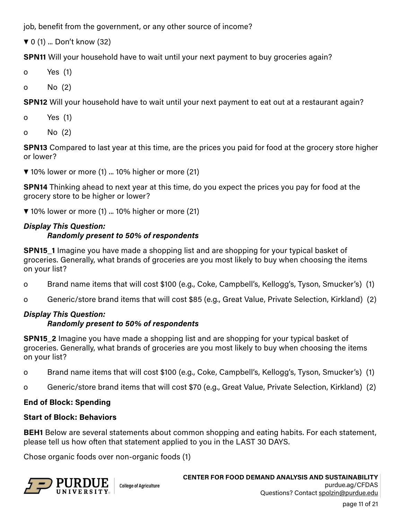job, benefit from the government, or any other source of income?

▼ 0 (1) ... Don't know (32)

**SPN11** Will your household have to wait until your next payment to buy groceries again?

- o Yes (1)
- o No (2)

**SPN12** Will your household have to wait until your next payment to eat out at a restaurant again?

- o Yes (1)
- o No (2)

**SPN13** Compared to last year at this time, are the prices you paid for food at the grocery store higher or lower?

▼ 10% lower or more (1) ... 10% higher or more (21)

**SPN14** Thinking ahead to next year at this time, do you expect the prices you pay for food at the grocery store to be higher or lower?

▼ 10% lower or more (1) ... 10% higher or more (21)

# *Display This Question: Randomly present to 50% of respondents*

**SPN15\_1** Imagine you have made a shopping list and are shopping for your typical basket of groceries. Generally, what brands of groceries are you most likely to buy when choosing the items on your list?

- o Brand name items that will cost \$100 (e.g., Coke, Campbell's, Kellogg's, Tyson, Smucker's) (1)
- o Generic/store brand items that will cost \$85 (e.g., Great Value, Private Selection, Kirkland) (2)

## *Display This Question:*

## *Randomly present to 50% of respondents*

**SPN15\_2** Imagine you have made a shopping list and are shopping for your typical basket of groceries. Generally, what brands of groceries are you most likely to buy when choosing the items on your list?

- o Brand name items that will cost \$100 (e.g., Coke, Campbell's, Kellogg's, Tyson, Smucker's) (1)
- o Generic/store brand items that will cost \$70 (e.g., Great Value, Private Selection, Kirkland) (2)

# **End of Block: Spending**

## **Start of Block: Behaviors**

**BEH1** Below are several statements about common shopping and eating habits. For each statement, please tell us how often that statement applied to you in the LAST 30 DAYS.

Chose organic foods over non-organic foods (1)



page 11 of 21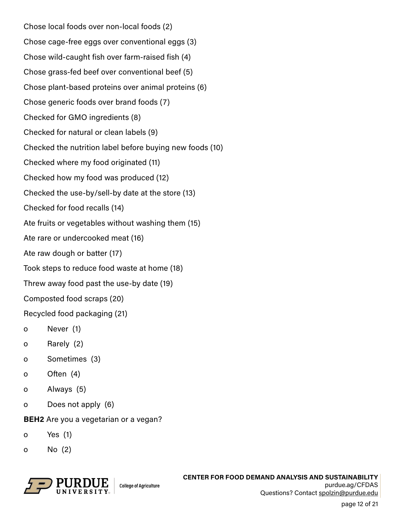Chose local foods over non-local foods (2) Chose cage-free eggs over conventional eggs (3) Chose wild-caught fish over farm-raised fish (4) Chose grass-fed beef over conventional beef (5) Chose plant-based proteins over animal proteins (6) Chose generic foods over brand foods (7) Checked for GMO ingredients (8) Checked for natural or clean labels (9) Checked the nutrition label before buying new foods (10) Checked where my food originated (11) Checked how my food was produced (12) Checked the use-by/sell-by date at the store (13) Checked for food recalls (14) Ate fruits or vegetables without washing them (15) Ate rare or undercooked meat (16) Ate raw dough or batter (17) Took steps to reduce food waste at home (18) Threw away food past the use-by date (19) Composted food scraps (20)

Recycled food packaging (21)

- o Never (1)
- o Rarely (2)
- o Sometimes (3)
- o Often (4)
- o Always (5)
- o Does not apply (6)

**BEH2** Are you a vegetarian or a vegan?

- o Yes (1)
- o No (2)

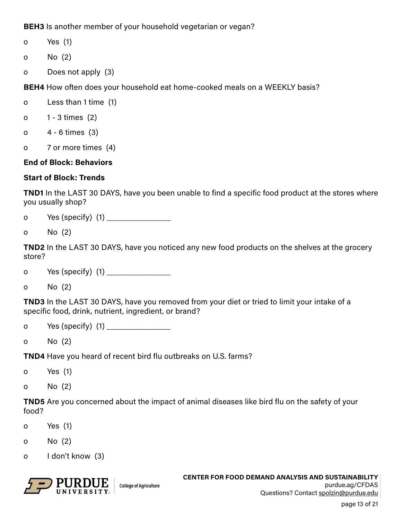**BEH3** Is another member of your household vegetarian or vegan?

- o Yes (1)
- o No (2)
- o Does not apply (3)

**BEH4** How often does your household eat home-cooked meals on a WEEKLY basis?

- o Less than 1 time (1)
- o 1 3 times (2)
- o 4 6 times (3)
- o 7 or more times (4)

## **End of Block: Behaviors**

## **Start of Block: Trends**

**TND1** In the LAST 30 DAYS, have you been unable to find a specific food product at the stores where you usually shop?

- o Yes (specify) (1)
- o No (2)

**TND2** In the LAST 30 DAYS, have you noticed any new food products on the shelves at the grocery store?

- o Yes (specify) (1) \_\_\_\_\_\_\_\_\_\_\_\_\_\_\_
- o No (2)

**TND3** In the LAST 30 DAYS, have you removed from your diet or tried to limit your intake of a specific food, drink, nutrient, ingredient, or brand?

- o Yes (specify) (1) \_\_\_\_\_\_\_\_\_\_\_\_\_\_\_\_
- o No (2)

**TND4** Have you heard of recent bird flu outbreaks on U.S. farms?

- o Yes (1)
- o No (2)

**TND5** Are you concerned about the impact of animal diseases like bird flu on the safety of your food?

- o Yes (1)
- o No (2)
- o I don't know (3)



**CENTER FOR FOOD DEMAND ANALYSIS AND SUSTAINABILITY** purdue.ag/CFDAS Questions? Contact spolzin@purdue.edu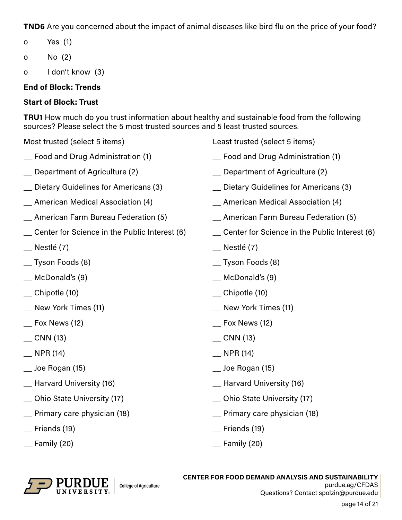**TND6** Are you concerned about the impact of animal diseases like bird flu on the price of your food?

- o Yes (1)
- o No (2)
- o I don't know (3)

# **End of Block: Trends**

# **Start of Block: Trust**

**TRU1** How much do you trust information about healthy and sustainable food from the following sources? Please select the 5 most trusted sources and 5 least trusted sources.

- 
- 
- 
- 
- 
- 
- 
- \_\_ Tyson Foods (8) \_\_ Tyson Foods (8)
- \_\_ McDonald's (9) \_\_ McDonald's (9)
- 
- 
- 
- 
- 
- \_\_ Joe Rogan (15) \_\_ Joe Rogan (15)
- 
- \_\_ Ohio State University (17) \_\_ Ohio State University (17)
- 
- \_\_ Friends (19) \_\_ Friends (19)
- 



- Food and Drug Administration (1) The Rood and Drug Administration (1)
- \_\_ Department of Agriculture (2) \_\_ Department of Agriculture (2)
- \_\_ Dietary Guidelines for Americans (3) \_\_ Dietary Guidelines for Americans (3)
- \_\_ American Medical Association (4) \_\_ American Medical Association (4)
- \_\_ American Farm Bureau Federation (5) \_\_ American Farm Bureau Federation (5)
- \_\_ Center for Science in the Public Interest (6) \_\_ Center for Science in the Public Interest (6)
- \_\_ Nestlé (7) \_\_ Nestlé (7)
	-
	-
- \_\_ Chipotle (10) \_\_ Chipotle (10)
- \_\_ New York Times (11) \_\_ New York Times (11)
- \_\_ Fox News (12) \_\_ Fox News (12)
- \_\_ CNN (13) \_\_ CNN (13)
- \_\_ NPR (14) \_\_ NPR (14)
	-
- \_\_ Harvard University (16) \_\_ Harvard University (16)
	-
- \_\_ Primary care physician (18) \_\_ Primary care physician (18)
	-
- \_\_ Family (20) \_\_ Family (20)



**CENTER FOR FOOD DEMAND ANALYSIS AND SUSTAINABILITY** purdue.ag/CFDAS Questions? Contact spolzin@purdue.edu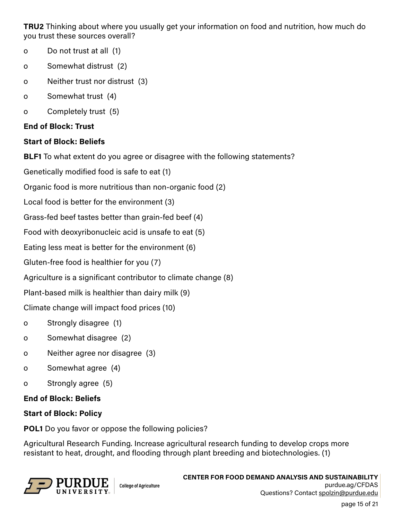**TRU2** Thinking about where you usually get your information on food and nutrition, how much do you trust these sources overall?

- o Do not trust at all (1)
- o Somewhat distrust (2)
- o Neither trust nor distrust (3)
- o Somewhat trust (4)
- o Completely trust (5)

## **End of Block: Trust**

## **Start of Block: Beliefs**

**BLF1** To what extent do you agree or disagree with the following statements?

Genetically modified food is safe to eat (1)

Organic food is more nutritious than non-organic food (2)

Local food is better for the environment (3)

Grass-fed beef tastes better than grain-fed beef (4)

Food with deoxyribonucleic acid is unsafe to eat (5)

Eating less meat is better for the environment (6)

Gluten-free food is healthier for you (7)

Agriculture is a significant contributor to climate change (8)

Plant-based milk is healthier than dairy milk (9)

Climate change will impact food prices (10)

- o Strongly disagree (1)
- o Somewhat disagree (2)
- o Neither agree nor disagree (3)
- o Somewhat agree (4)
- o Strongly agree (5)

## **End of Block: Beliefs**

## **Start of Block: Policy**

**POL1** Do you favor or oppose the following policies?

Agricultural Research Funding. Increase agricultural research funding to develop crops more resistant to heat, drought, and flooding through plant breeding and biotechnologies. (1)

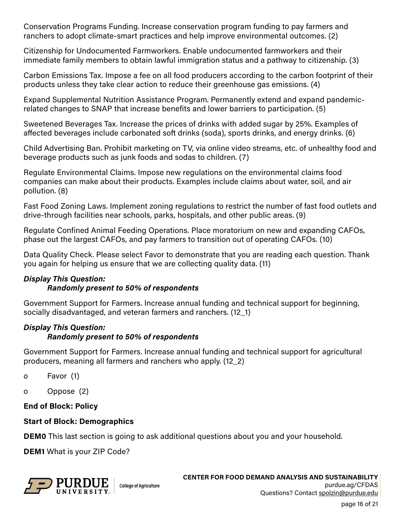Conservation Programs Funding. Increase conservation program funding to pay farmers and ranchers to adopt climate-smart practices and help improve environmental outcomes. (2)

Citizenship for Undocumented Farmworkers. Enable undocumented farmworkers and their immediate family members to obtain lawful immigration status and a pathway to citizenship. (3)

Carbon Emissions Tax. Impose a fee on all food producers according to the carbon footprint of their products unless they take clear action to reduce their greenhouse gas emissions. (4)

Expand Supplemental Nutrition Assistance Program. Permanently extend and expand pandemicrelated changes to SNAP that increase benefits and lower barriers to participation. (5)

Sweetened Beverages Tax. Increase the prices of drinks with added sugar by 25%. Examples of affected beverages include carbonated soft drinks (soda), sports drinks, and energy drinks. (6)

Child Advertising Ban. Prohibit marketing on TV, via online video streams, etc. of unhealthy food and beverage products such as junk foods and sodas to children. (7)

Regulate Environmental Claims. Impose new regulations on the environmental claims food companies can make about their products. Examples include claims about water, soil, and air pollution. (8)

Fast Food Zoning Laws. Implement zoning regulations to restrict the number of fast food outlets and drive-through facilities near schools, parks, hospitals, and other public areas. (9)

Regulate Confined Animal Feeding Operations. Place moratorium on new and expanding CAFOs, phase out the largest CAFOs, and pay farmers to transition out of operating CAFOs. (10)

Data Quality Check. Please select Favor to demonstrate that you are reading each question. Thank you again for helping us ensure that we are collecting quality data. (11)

## *Display This Question:*

#### *Randomly present to 50% of respondents*

Government Support for Farmers. Increase annual funding and technical support for beginning, socially disadvantaged, and veteran farmers and ranchers. (12\_1)

# *Display This Question:*

#### *Randomly present to 50% of respondents*

Government Support for Farmers. Increase annual funding and technical support for agricultural producers, meaning all farmers and ranchers who apply. (12\_2)

- o Favor (1)
- o Oppose (2)

#### **End of Block: Policy**

#### **Start of Block: Demographics**

**DEM0** This last section is going to ask additional questions about you and your household.

**DEM1** What is your ZIP Code?

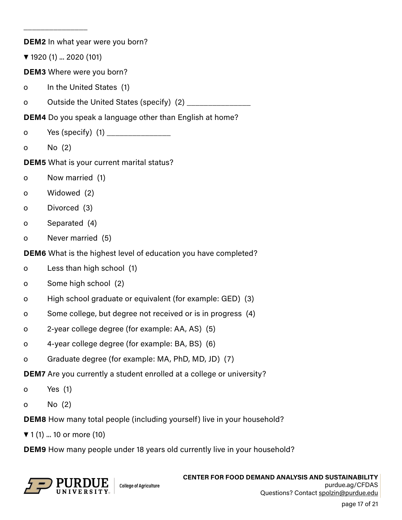**DEM2** In what year were you born? ▼ 1920 (1) ... 2020 (101) **DEM3** Where were you born? o In the United States (1) o Outside the United States (specify) (2) **DEM4** Do you speak a language other than English at home? o Yes (specify)  $(1)$ o No (2) **DEM5** What is your current marital status? o Now married (1) o Widowed (2) o Divorced (3) o Separated (4) o Never married (5) **DEM6** What is the highest level of education you have completed? o Less than high school (1) o Some high school (2) o High school graduate or equivalent (for example: GED) (3) o Some college, but degree not received or is in progress (4) o 2-year college degree (for example: AA, AS) (5) o 4-year college degree (for example: BA, BS) (6) o Graduate degree (for example: MA, PhD, MD, JD) (7) **DEM7** Are you currently a student enrolled at a college or university? o Yes (1) o No (2) **DEM8** How many total people (including yourself) live in your household? ▼ 1 (1) ... 10 or more (10) **DEM9** How many people under 18 years old currently live in your household?



\_\_\_\_\_\_\_\_\_\_\_\_\_\_\_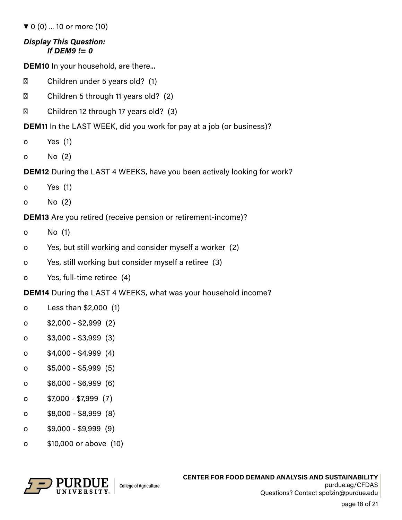▼ 0 (0) ... 10 or more (10)

#### *Display This Question: If DEM9 != 0*

**DEM10** In your household, are there...

Children under 5 years old? (1)

Children 5 through 11 years old? (2)

Children 12 through 17 years old? (3)

**DEM11** In the LAST WEEK, did you work for pay at a job (or business)?

- o Yes (1)
- o No (2)

**DEM12** During the LAST 4 WEEKS, have you been actively looking for work?

- o Yes (1)
- o No (2)

**DEM13** Are you retired (receive pension or retirement-income)?

- o No (1)
- o Yes, but still working and consider myself a worker (2)
- o Yes, still working but consider myself a retiree (3)
- o Yes, full-time retiree (4)

**DEM14** During the LAST 4 WEEKS, what was your household income?

- o Less than \$2,000 (1)
- o \$2,000 \$2,999 (2)
- o \$3,000 \$3,999 (3)
- o \$4,000 \$4,999 (4)
- o \$5,000 \$5,999 (5)
- o \$6,000 \$6,999 (6)
- o \$7,000 \$7,999 (7)
- o \$8,000 \$8,999 (8)
- o \$9,000 \$9,999 (9)
- o \$10,000 or above (10)

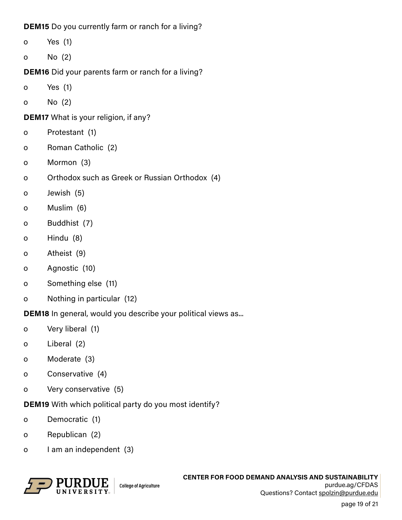**DEM15** Do you currently farm or ranch for a living?

o Yes (1)

o No (2)

**DEM16** Did your parents farm or ranch for a living?

- o Yes (1)
- o No (2)

**DEM17** What is your religion, if any?

- o Protestant (1)
- o Roman Catholic (2)
- o Mormon (3)
- o Orthodox such as Greek or Russian Orthodox (4)
- o Jewish (5)
- o Muslim (6)
- o Buddhist (7)
- o Hindu (8)
- o Atheist (9)
- o Agnostic (10)
- o Something else (11)
- o Nothing in particular (12)

**DEM18** In general, would you describe your political views as...

- o Very liberal (1)
- o Liberal (2)
- o Moderate (3)
- o Conservative (4)
- o Very conservative (5)

**DEM19** With which political party do you most identify?

- o Democratic (1)
- o Republican (2)
- o I am an independent (3)



page 19 of 21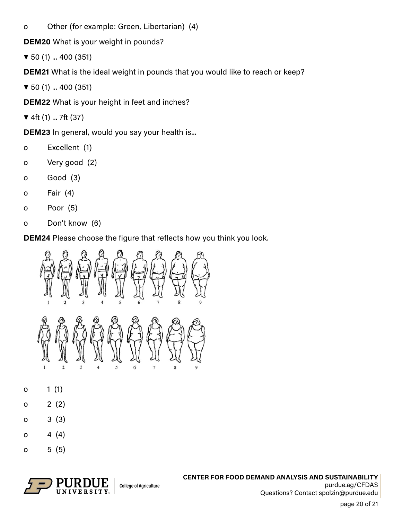o Other (for example: Green, Libertarian) (4)

**DEM20** What is your weight in pounds?

▼ 50 (1) ... 400 (351)

**DEM21** What is the ideal weight in pounds that you would like to reach or keep?

▼ 50 (1) ... 400 (351)

**DEM22** What is your height in feet and inches?

▼ 4ft (1) ... 7ft (37)

**DEM23** In general, would you say your health is...

- o Excellent (1)
- o Very good (2)
- o Good (3)
- o Fair (4)
- o Poor (5)
- o Don't know (6)

**DEM24** Please choose the figure that reflects how you think you look.



- o 1 (1)
- $0 \t2 (2)$
- o 3 (3)
- $0 \t 4 \t (4)$
- $0 5 (5)$